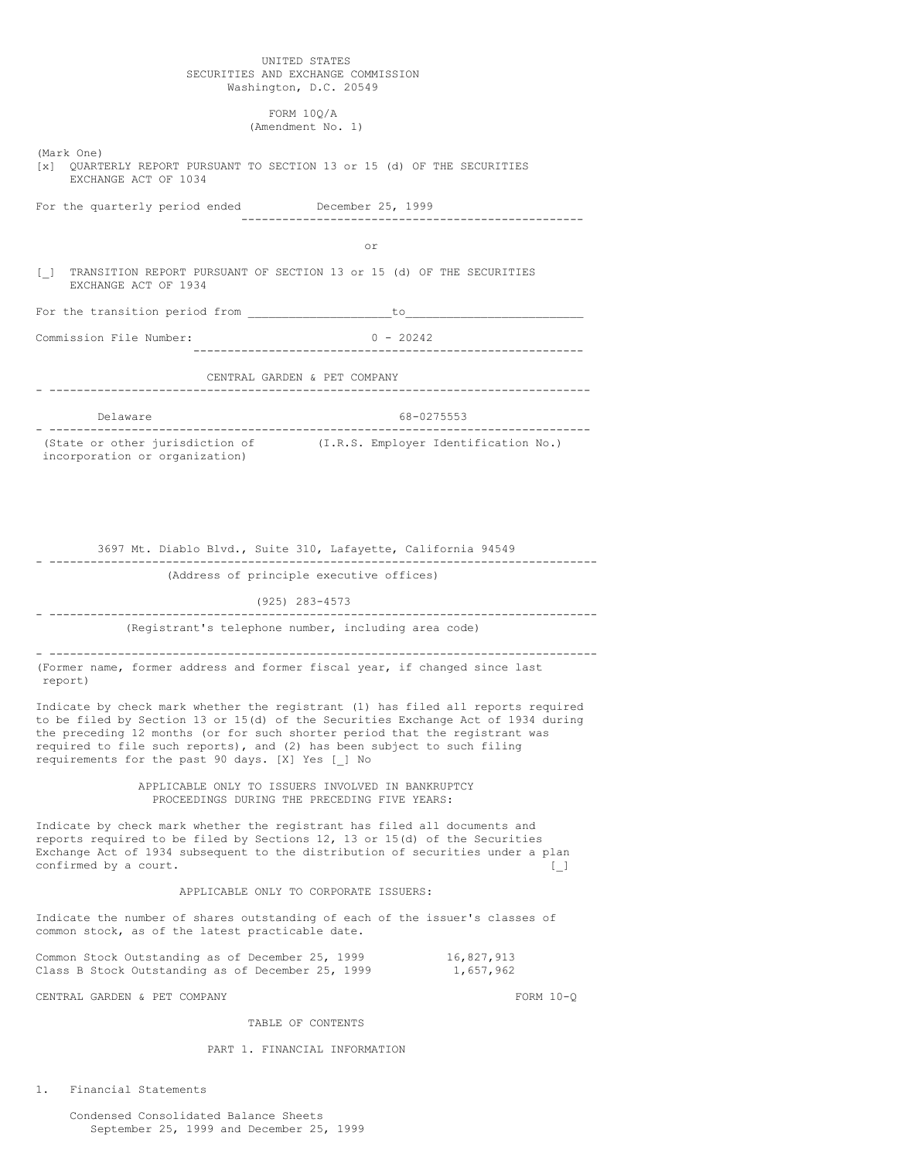## UNITED STATES SECURITIES AND EXCHANGE COMMISSION Washington, D.C. 20549

FORM 10Q/A (Amendment No. 1)

| (Mark One)<br>[x] QUARTERLY REPORT PURSUANT TO SECTION 13 or 15 (d) OF THE SECURITIES<br>EXCHANGE ACT OF 1034                                                                    |                                                                                                                                                                                                                                                     |
|----------------------------------------------------------------------------------------------------------------------------------------------------------------------------------|-----------------------------------------------------------------------------------------------------------------------------------------------------------------------------------------------------------------------------------------------------|
| For the quarterly period ended December 25, 1999                                                                                                                                 | -----------------------------                                                                                                                                                                                                                       |
|                                                                                                                                                                                  | or                                                                                                                                                                                                                                                  |
| U<br>EXCHANGE ACT OF 1934                                                                                                                                                        | TRANSITION REPORT PURSUANT OF SECTION 13 or 15 (d) OF THE SECURITIES                                                                                                                                                                                |
|                                                                                                                                                                                  |                                                                                                                                                                                                                                                     |
| Commission File Number:                                                                                                                                                          | $0 - 20242$                                                                                                                                                                                                                                         |
|                                                                                                                                                                                  | CENTRAL GARDEN & PET COMPANY                                                                                                                                                                                                                        |
| Delaware                                                                                                                                                                         | 68-0275553                                                                                                                                                                                                                                          |
| (State or other jurisdiction of<br>incorporation or organization)                                                                                                                | (I.R.S. Employer Identification No.)                                                                                                                                                                                                                |
|                                                                                                                                                                                  |                                                                                                                                                                                                                                                     |
|                                                                                                                                                                                  |                                                                                                                                                                                                                                                     |
|                                                                                                                                                                                  | 3697 Mt. Diablo Blvd., Suite 310, Lafayette, California 94549                                                                                                                                                                                       |
|                                                                                                                                                                                  | (Address of principle executive offices)                                                                                                                                                                                                            |
|                                                                                                                                                                                  | (925) 283-4573                                                                                                                                                                                                                                      |
|                                                                                                                                                                                  | (Registrant's telephone number, including area code)                                                                                                                                                                                                |
| (Former name, former address and former fiscal year, if changed since last<br>report)                                                                                            |                                                                                                                                                                                                                                                     |
| required to file such reports), and (2) has been subject to such filing<br>requirements for the past 90 days. [X] Yes [ ] No                                                     | Indicate by check mark whether the registrant (1) has filed all reports required<br>to be filed by Section 13 or 15(d) of the Securities Exchange Act of 1934 during<br>the preceding 12 months (or for such shorter period that the registrant was |
|                                                                                                                                                                                  | APPLICABLE ONLY TO ISSUERS INVOLVED IN BANKRUPTCY<br>PROCEEDINGS DURING THE PRECEDING FIVE YEARS:                                                                                                                                                   |
| Indicate by check mark whether the registrant has filed all documents and<br>reports required to be filed by Sections 12, 13 or 15(d) of the Securities<br>confirmed by a court. | Exchange Act of 1934 subsequent to the distribution of securities under a plan<br>$\begin{array}{c} \square \end{array}$                                                                                                                            |
|                                                                                                                                                                                  | APPLICABLE ONLY TO CORPORATE ISSUERS:                                                                                                                                                                                                               |
| common stock, as of the latest practicable date.                                                                                                                                 | Indicate the number of shares outstanding of each of the issuer's classes of                                                                                                                                                                        |
| Common Stock Outstanding as of December 25, 1999<br>Class B Stock Outstanding as of December 25, 1999                                                                            | 16,827,913<br>1,657,962                                                                                                                                                                                                                             |
|                                                                                                                                                                                  |                                                                                                                                                                                                                                                     |

CENTRAL GARDEN & PET COMPANY FORM 10-Q

# TABLE OF CONTENTS

# PART 1. FINANCIAL INFORMATION

1. Financial Statements

Condensed Consolidated Balance Sheets September 25, 1999 and December 25, 1999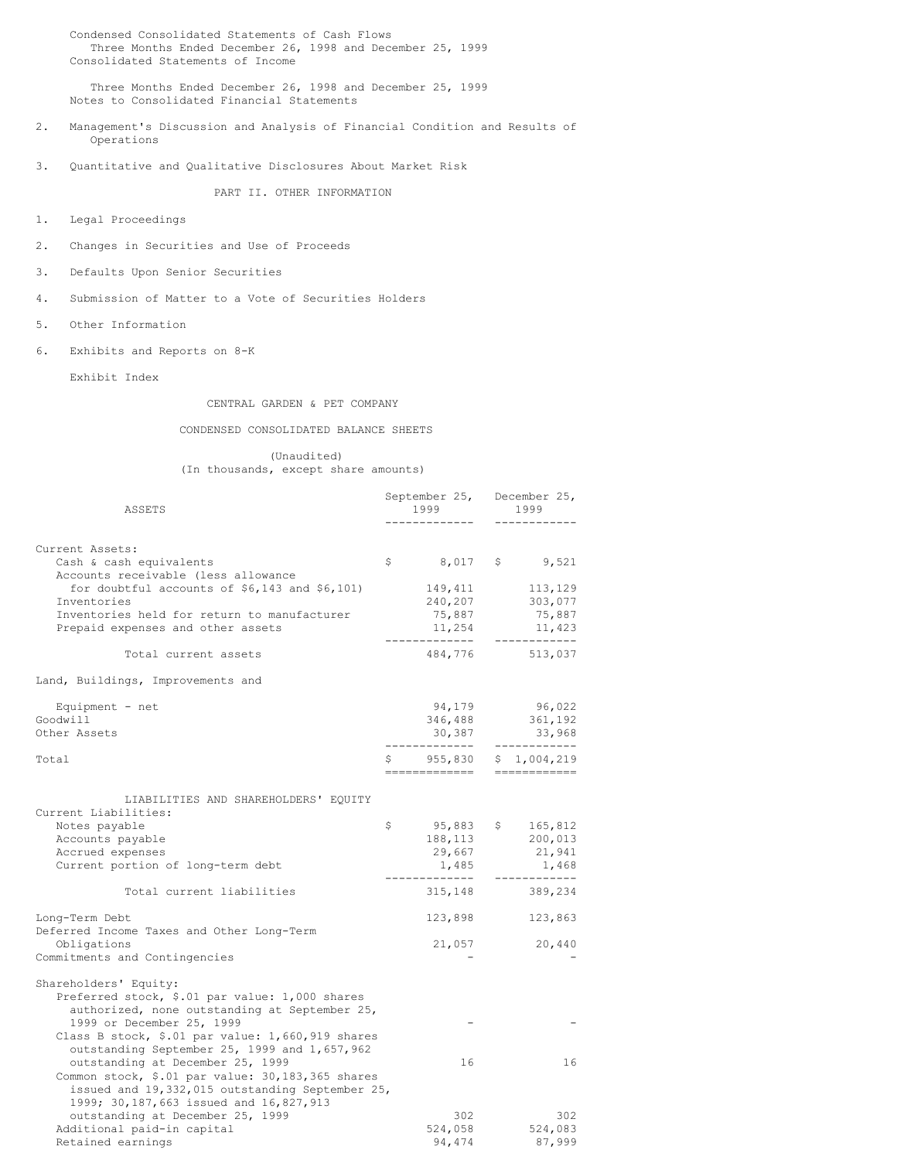Condensed Consolidated Statements of Cash Flows Three Months Ended December 26, 1998 and December 25, 1999 Consolidated Statements of Income

Three Months Ended December 26, 1998 and December 25, 1999 Notes to Consolidated Financial Statements

- 2. Management's Discussion and Analysis of Financial Condition and Results of Operations
- 3. Quantitative and Qualitative Disclosures About Market Risk

PART II. OTHER INFORMATION

- 1. Legal Proceedings
- 2. Changes in Securities and Use of Proceeds
- 3. Defaults Upon Senior Securities
- 4. Submission of Matter to a Vote of Securities Holders
- 5. Other Information
- 6. Exhibits and Reports on 8-K

Exhibit Index

## CENTRAL GARDEN & PET COMPANY

## CONDENSED CONSOLIDATED BALANCE SHEETS

(Unaudited) (In thousands, except share amounts)

| ASSETS                                                                                                                                                                                                                                                    |              | 1999<br>------------                                      |  | September 25, December 25,<br>1999                                     |  |
|-----------------------------------------------------------------------------------------------------------------------------------------------------------------------------------------------------------------------------------------------------------|--------------|-----------------------------------------------------------|--|------------------------------------------------------------------------|--|
|                                                                                                                                                                                                                                                           |              |                                                           |  |                                                                        |  |
| Current Assets:<br>Cash & cash equivalents<br>Accounts receivable (less allowance                                                                                                                                                                         | $\mathsf{S}$ |                                                           |  | 8,017 \$ 9,521                                                         |  |
| for doubtful accounts of $$6,143$ and $$6,101)$<br>Inventories<br>Inventories held for return to manufacturer<br>Prepaid expenses and other assets                                                                                                        |              | 149,411<br>240,207<br>75,887<br>11,254<br>--------------- |  | $\frac{113}{222}$ , 129<br>303,077<br>75,887<br>11,423<br>------------ |  |
| Total current assets                                                                                                                                                                                                                                      |              |                                                           |  | 484,776 513,037                                                        |  |
| Land, Buildings, Improvements and                                                                                                                                                                                                                         |              |                                                           |  |                                                                        |  |
| Equipment - $net$<br>Goodwill<br>Other Assets                                                                                                                                                                                                             |              | ______________                                            |  | 94,179 96,022<br>346,488 361,192<br>30,387 33,968<br>____________      |  |
| Total                                                                                                                                                                                                                                                     | Ŝ.           |                                                           |  | 955,830 \$ 1,004,219                                                   |  |
| LIABILITIES AND SHAREHOLDERS' EQUITY<br>Current Liabilities:<br>Notes payable<br>Accounts payable<br>Accrued expenses<br>Current portion of long-term debt                                                                                                | \$           | 188,113<br>29,667<br>1,485<br>-------------               |  | $95,883$ \$ 165,812<br>200,013<br>21,941<br>1,468<br>------------      |  |
| Total current liabilities                                                                                                                                                                                                                                 |              | 315,148                                                   |  | 389,234                                                                |  |
| Long-Term Debt<br>Deferred Income Taxes and Other Long-Term<br>Obligations<br>Commitments and Contingencies                                                                                                                                               |              | 123,898<br>21,057                                         |  | 123,863<br>20,440                                                      |  |
| Shareholders' Equity:<br>Preferred stock, \$.01 par value: 1,000 shares<br>authorized, none outstanding at September 25,<br>1999 or December 25, 1999<br>Class B stock, \$.01 par value: 1,660,919 shares<br>outstanding September 25, 1999 and 1,657,962 |              |                                                           |  |                                                                        |  |
| outstanding at December 25, 1999<br>Common stock, \$.01 par value: 30,183,365 shares<br>issued and 19,332,015 outstanding September 25,<br>1999; 30,187,663 issued and 16,827,913                                                                         |              | 16                                                        |  | 16                                                                     |  |
| outstanding at December 25, 1999<br>Additional paid-in capital<br>Retained earnings                                                                                                                                                                       |              | 302<br>524,058<br>94,474                                  |  | 302<br>524,083<br>87,999                                               |  |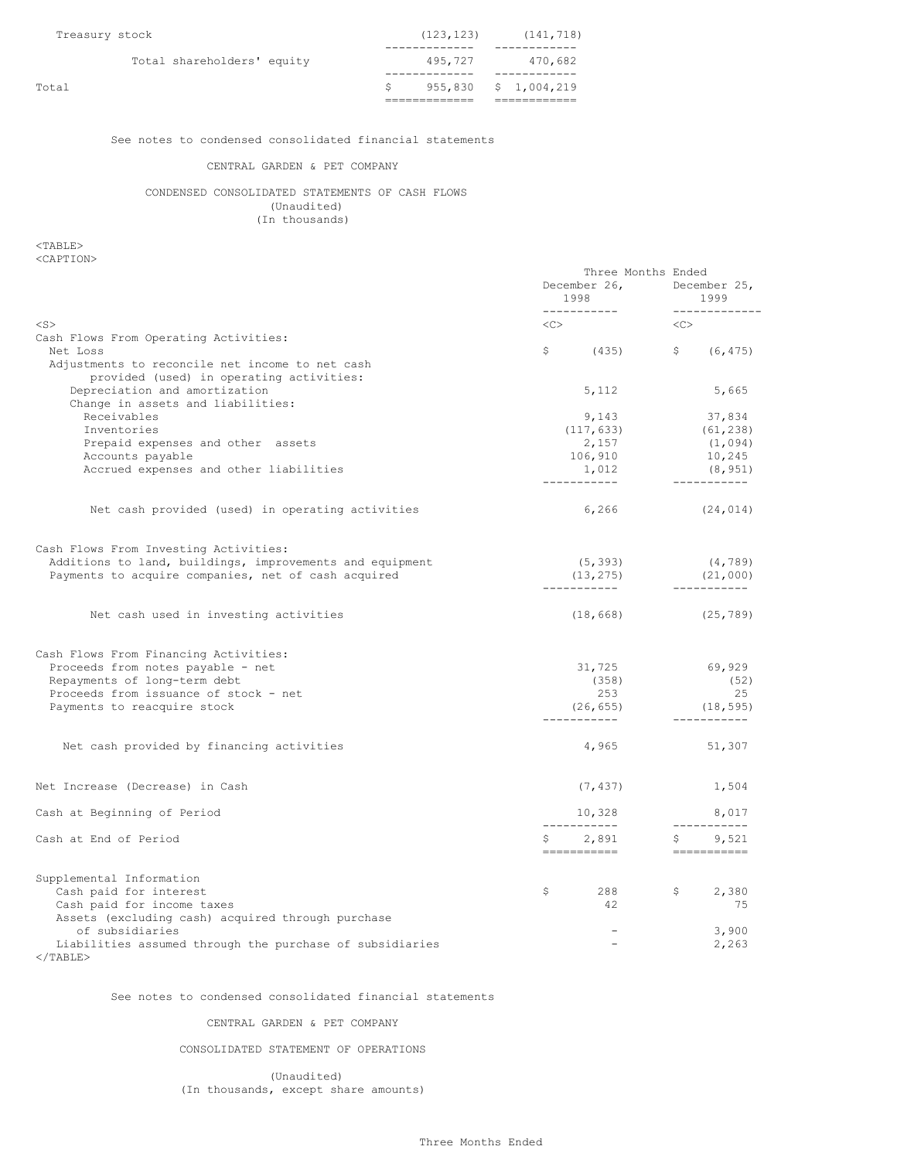| Total                      |            | $955,830 \t$ \$ 1,004,219 |
|----------------------------|------------|---------------------------|
| Total shareholders' equity | 495.727    | 470.682                   |
| Treasury stock             | (123, 123) | (141, 718)                |

See notes to condensed consolidated financial statements

## CENTRAL GARDEN & PET COMPANY

CONDENSED CONSOLIDATED STATEMENTS OF CASH FLOWS (Unaudited) (In thousands)

# <TABLE>

<CAPTION>

|                                                                                                      | Three Months Ended<br>1998<br>------------ | December 26, December 25,<br>1999<br>______________ |
|------------------------------------------------------------------------------------------------------|--------------------------------------------|-----------------------------------------------------|
| $<$ S $>$                                                                                            | <<>                                        | < <c></c>                                           |
| Cash Flows From Operating Activities:<br>Net Loss<br>Adjustments to reconcile net income to net cash | $\frac{1}{2}$ (435) $\frac{1}{2}$ (6,475)  |                                                     |
| provided (used) in operating activities:<br>Depreciation and amortization                            | 5,112                                      | 5,665                                               |
| Change in assets and liabilities:                                                                    |                                            |                                                     |
| Receivables                                                                                          | 9,143                                      | 37,834                                              |
| Inventories                                                                                          | (117, 633)<br>2,157                        | (61, 238)                                           |
| Prepaid expenses and other assets<br>Accounts payable                                                | 106,910                                    | (1,094)<br>10,245                                   |
| Accrued expenses and other liabilities                                                               | 1,012<br>-----------                       | (8, 951)<br>____________                            |
| Net cash provided (used) in operating activities                                                     | 6,266                                      | (24, 014)                                           |
| Cash Flows From Investing Activities:                                                                |                                            |                                                     |
| Additions to land, buildings, improvements and equipment                                             | (5, 393)                                   | (4, 789)                                            |
| Payments to acquire companies, net of cash acquired                                                  | (13, 275)<br>------------                  | (21,000)<br>____________                            |
| Net cash used in investing activities                                                                | (18, 668)                                  | (25, 789)                                           |
| Cash Flows From Financing Activities:                                                                |                                            |                                                     |
| Proceeds from notes payable - net                                                                    | 31,725                                     | 69,929                                              |
| Repayments of long-term debt                                                                         | (358)                                      | (52)                                                |
| Proceeds from issuance of stock - net                                                                | 253                                        | 25                                                  |
| Payments to reacquire stock                                                                          | (26, 655)<br>------------                  | (18, 595)<br>------------                           |
| Net cash provided by financing activities                                                            | 4,965                                      | 51,307                                              |
| Net Increase (Decrease) in Cash                                                                      | (7, 437)                                   | 1,504                                               |
| Cash at Beginning of Period                                                                          | 10,328<br>------------                     | 8,017<br>_____________                              |
| Cash at End of Period                                                                                | 2,891<br>S<br>===========                  | \$ 9,521<br>------------                            |
| Supplemental Information                                                                             |                                            |                                                     |
| Cash paid for interest                                                                               | $\mathsf{S}$<br>288                        | $\mathfrak{S}$<br>2,380                             |
| Cash paid for income taxes                                                                           | 42                                         | 75                                                  |
| Assets (excluding cash) acquired through purchase                                                    |                                            |                                                     |
| of subsidiaries                                                                                      | $\overline{\phantom{a}}$                   | 3,900                                               |
| Liabilities assumed through the purchase of subsidiaries<br>$\langle$ /TABLE>                        |                                            | 2,263                                               |

See notes to condensed consolidated financial statements

CENTRAL GARDEN & PET COMPANY

CONSOLIDATED STATEMENT OF OPERATIONS

(Unaudited) (In thousands, except share amounts)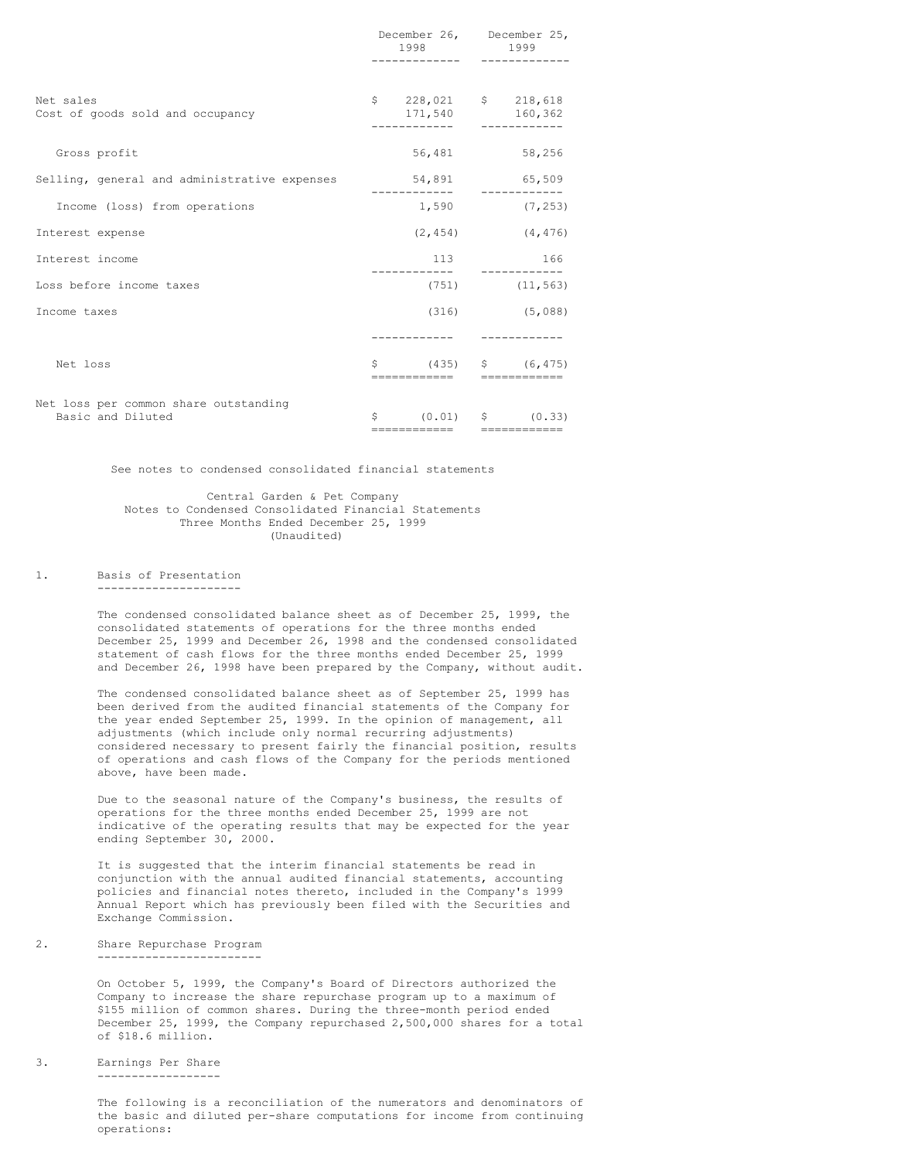|                                                            | December 26, December 25,<br>1998 — 1998 — 1998 — 1998 — 1998 — 1998 — 1998 — 1998 — 1998 — 1998 — 1998 — 1998 — 1998 — 1998 — 1998 — 1998 — 199 | 1999                  |
|------------------------------------------------------------|--------------------------------------------------------------------------------------------------------------------------------------------------|-----------------------|
| Net sales<br>Cost of goods sold and occupancy              | $$228,021$ \$ 218,618<br>171,540 160,362                                                                                                         |                       |
| Gross profit                                               | 56,481                                                                                                                                           | 58,256                |
| Selling, general and administrative expenses 54,891 65,509 |                                                                                                                                                  |                       |
| Income (loss) from operations                              |                                                                                                                                                  | $1,590$ (7,253)       |
| Interest expense                                           |                                                                                                                                                  | $(2, 454)$ $(4, 476)$ |
| Interest income                                            | 113                                                                                                                                              | 166                   |
| Loss before income taxes                                   |                                                                                                                                                  | $(751)$ $(11, 563)$   |
| Income taxes                                               |                                                                                                                                                  | $(316)$ $(5,088)$     |
|                                                            | . <u>.</u>                                                                                                                                       |                       |
| Net loss                                                   | $\frac{1}{2}$ (435) $\frac{1}{2}$ (6,475)<br>-------------                                                                                       | ------------          |
| Net loss per common share outstanding<br>Basic and Diluted | $\zeta$ (0.01) $\zeta$ (0.33)<br>==========================                                                                                      |                       |

See notes to condensed consolidated financial statements

## Central Garden & Pet Company Notes to Condensed Consolidated Financial Statements Three Months Ended December 25, 1999 (Unaudited)

1. Basis of Presentation

---------------------

The condensed consolidated balance sheet as of December 25, 1999, the consolidated statements of operations for the three months ended December 25, 1999 and December 26, 1998 and the condensed consolidated statement of cash flows for the three months ended December 25, 1999 and December 26, 1998 have been prepared by the Company, without audit.

The condensed consolidated balance sheet as of September 25, 1999 has been derived from the audited financial statements of the Company for the year ended September 25, 1999. In the opinion of management, all adjustments (which include only normal recurring adjustments) considered necessary to present fairly the financial position, results of operations and cash flows of the Company for the periods mentioned above, have been made.

Due to the seasonal nature of the Company's business, the results of operations for the three months ended December 25, 1999 are not indicative of the operating results that may be expected for the year ending September 30, 2000.

It is suggested that the interim financial statements be read in conjunction with the annual audited financial statements, accounting policies and financial notes thereto, included in the Company's 1999 Annual Report which has previously been filed with the Securities and Exchange Commission.

2. Share Repurchase Program ------------------------

> On October 5, 1999, the Company's Board of Directors authorized the Company to increase the share repurchase program up to a maximum of \$155 million of common shares. During the three-month period ended December 25, 1999, the Company repurchased 2,500,000 shares for a total of \$18.6 million.

3. Earnings Per Share ------------------

> The following is a reconciliation of the numerators and denominators of the basic and diluted per-share computations for income from continuing operations: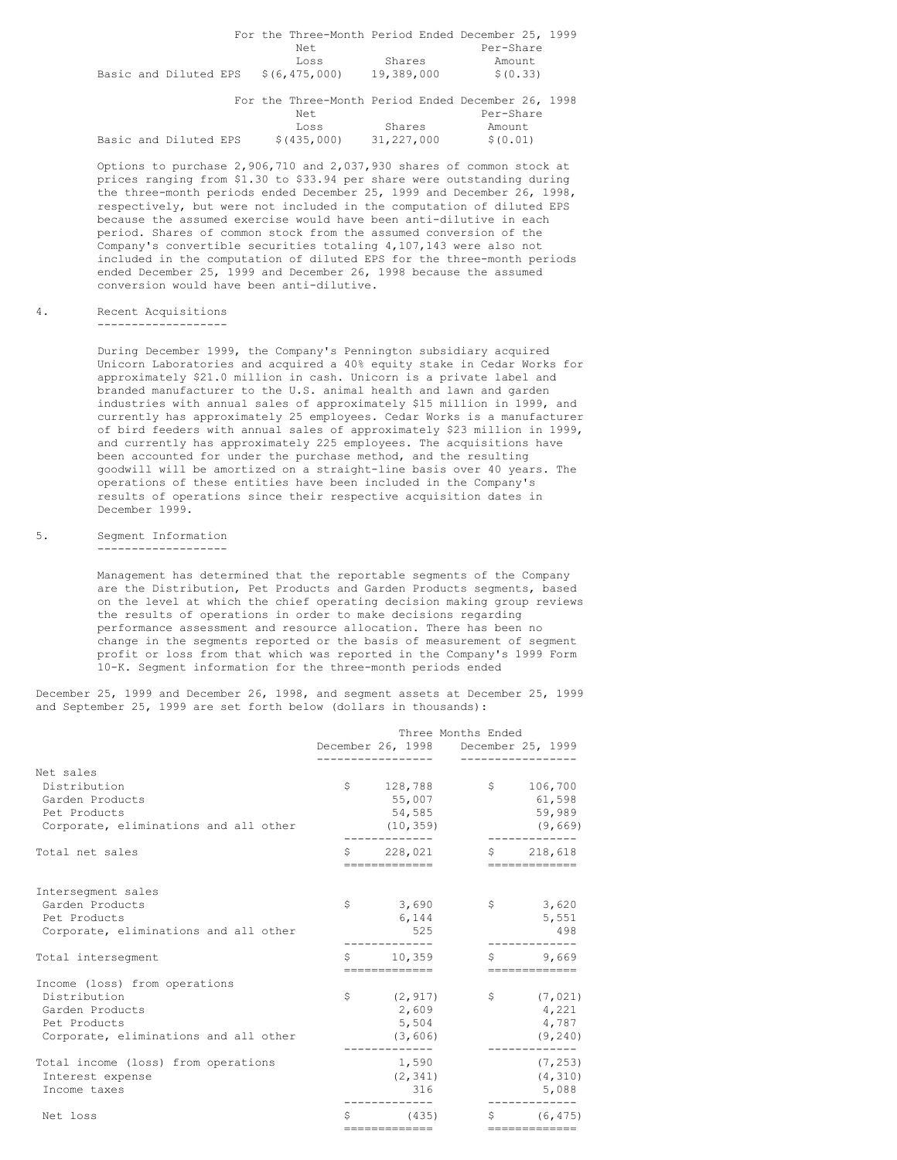|                                     |  | For the Three-Month Period Ended December 25, 1999 |            |           |  |
|-------------------------------------|--|----------------------------------------------------|------------|-----------|--|
|                                     |  | Net.                                               |            | Per-Share |  |
|                                     |  | Loss                                               | Shares     | Amount    |  |
| Basic and Diluted EPS \$(6,475,000) |  |                                                    | 19,389,000 | \$ (0.33) |  |
|                                     |  |                                                    |            |           |  |
|                                     |  | For the Three-Month Period Ended December 26, 1998 |            |           |  |

|  |                       |  |             |            | TAT MIG THIRG MANIFIL FATION MINGS BOOMMAT TAN TA |  |
|--|-----------------------|--|-------------|------------|---------------------------------------------------|--|
|  |                       |  | Net.        |            | Per-Share                                         |  |
|  |                       |  | Loss        | Shares     | Amount                                            |  |
|  | Basic and Diluted EPS |  | \$(435,000) | 31,227,000 | \$(0.01)                                          |  |

Options to purchase 2,906,710 and 2,037,930 shares of common stock at prices ranging from \$1.30 to \$33.94 per share were outstanding during the three-month periods ended December 25, 1999 and December 26, 1998, respectively, but were not included in the computation of diluted EPS because the assumed exercise would have been anti-dilutive in each period. Shares of common stock from the assumed conversion of the Company's convertible securities totaling 4,107,143 were also not included in the computation of diluted EPS for the three-month periods ended December 25, 1999 and December 26, 1998 because the assumed conversion would have been anti-dilutive.

#### 4. Recent Acquisitions -------------------

During December 1999, the Company's Pennington subsidiary acquired Unicorn Laboratories and acquired a 40% equity stake in Cedar Works for approximately \$21.0 million in cash. Unicorn is a private label and branded manufacturer to the U.S. animal health and lawn and garden industries with annual sales of approximately \$15 million in 1999, and currently has approximately 25 employees. Cedar Works is a manufacturer of bird feeders with annual sales of approximately \$23 million in 1999, and currently has approximately 225 employees. The acquisitions have been accounted for under the purchase method, and the resulting goodwill will be amortized on a straight-line basis over 40 years. The operations of these entities have been included in the Company's results of operations since their respective acquisition dates in December 1999.

#### 5. Segment Information -------------------

Management has determined that the reportable segments of the Company are the Distribution, Pet Products and Garden Products segments, based on the level at which the chief operating decision making group reviews the results of operations in order to make decisions regarding performance assessment and resource allocation. There has been no change in the segments reported or the basis of measurement of segment profit or loss from that which was reported in the Company's 1999 Form 10-K. Segment information for the three-month periods ended

December 25, 1999 and December 26, 1998, and segment assets at December 25, 1999 and September 25, 1999 are set forth below (dollars in thousands):

|                                                                                                                           |                   |                                                         | Three Months Ended<br>December 26, 1998 December 25, 1999<br>------------ |                                                           |
|---------------------------------------------------------------------------------------------------------------------------|-------------------|---------------------------------------------------------|---------------------------------------------------------------------------|-----------------------------------------------------------|
| Net sales<br>Distribution<br>Garden Products<br>Pet Products<br>Corporate, eliminations and all other                     |                   | 55,007<br>54,585<br>(10, 359)                           | $$128,788$ $$106,700$                                                     | 61,598<br>59,989<br>(9,669)                               |
| Total net sales                                                                                                           |                   | --------------                                          | $$228,021$ $$218,618$                                                     | ==============                                            |
| Intersegment sales<br>Garden Products<br>Pet Products<br>Corporate, eliminations and all other<br>Total interseqment      | $S \qquad \qquad$ | \$3,690<br>6,144<br>525<br>10,359                       | $\mathsf{S}$                                                              | 3,620<br>5,551<br>498<br>$\sin 9,669$                     |
| Income (loss) from operations<br>Distribution<br>Garden Products<br>Pet Products<br>Corporate, eliminations and all other | \$                | =============<br>(2, 917)<br>2,609<br>5,504<br>(3, 606) |                                                                           | =============<br>\$ (7,021)<br>4,221<br>4,787<br>(9, 240) |
| Total income (loss) from operations<br>Interest expense<br>Income taxes                                                   |                   | 1,590<br>(2, 341)<br>316                                |                                                                           | (7, 253)<br>(4, 310)<br>5,088                             |
| Net loss                                                                                                                  |                   | --------------                                          | $(435)$ $\frac{1}{5}$ $(6, 475)$                                          | --------------                                            |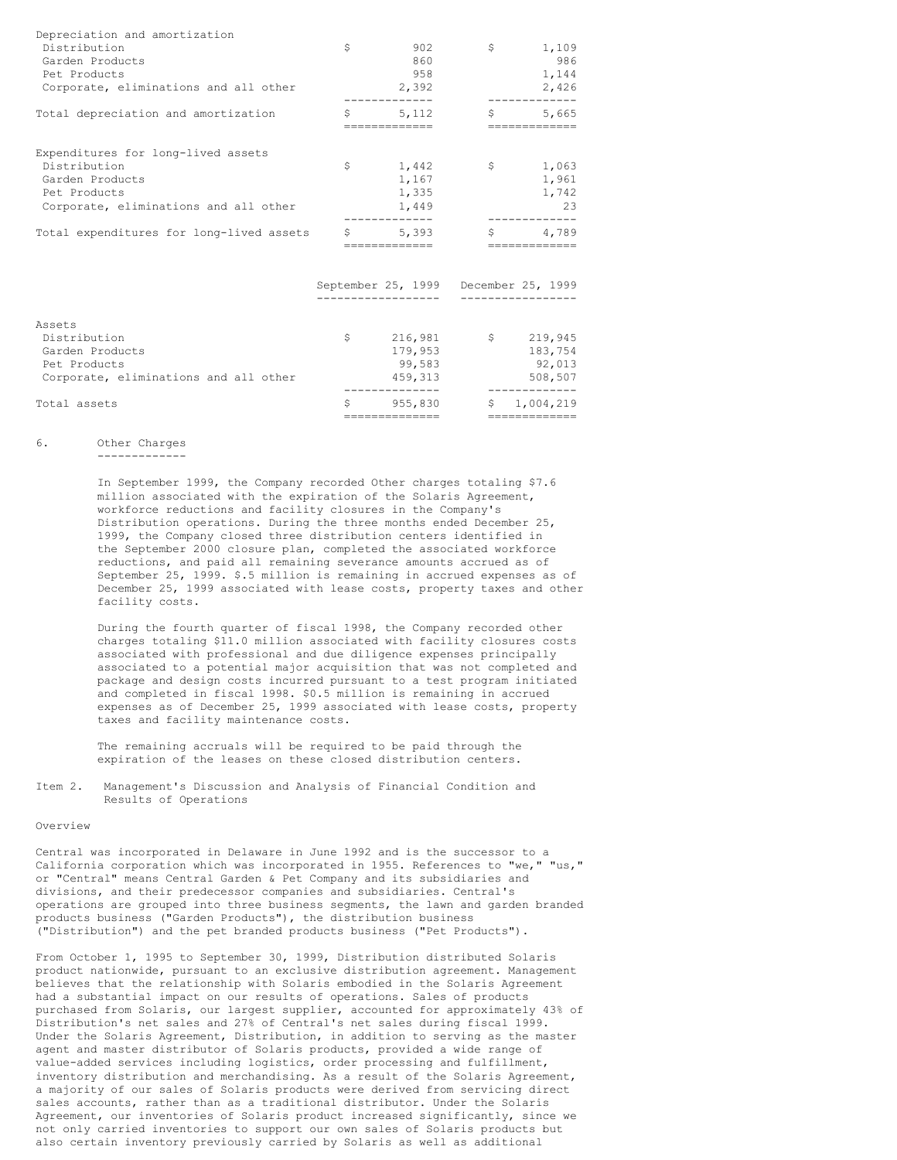| Depreciation and amortization            |             |                                      |             |                        |
|------------------------------------------|-------------|--------------------------------------|-------------|------------------------|
| Distribution                             | \$          | 902                                  | S.          | 1,109                  |
| Garden Products                          |             | 860                                  |             | 986                    |
| Pet Products                             |             | 958                                  |             | 1,144                  |
| Corporate, eliminations and all other    |             | 2,392                                |             | 2,426                  |
| Total depreciation and amortization      | \$          | 5,112<br>-------------               |             | 5,665<br>============= |
| Expenditures for long-lived assets       |             |                                      |             |                        |
| Distribution                             | \$          | 1,442                                | \$          | 1,063                  |
| Garden Products                          |             | 1,167                                |             | 1,961                  |
| Pet Products                             |             | 1,335                                |             | 1,742                  |
| Corporate, eliminations and all other    |             | 1,449                                |             | 23                     |
| Total expenditures for long-lived assets | $S$ and $S$ | 5,393                                | S.          | 4,789                  |
|                                          |             |                                      |             |                        |
|                                          |             | September 25, 1999 December 25, 1999 |             |                        |
|                                          |             |                                      |             |                        |
| Assets                                   |             |                                      |             |                        |
| Distribution                             | Ŝ.          | 216,981                              | $S$ and $S$ | 219,945                |
| Garden Products                          |             | 179,953                              |             | 183,754                |
| Pet Products                             |             | 99,583                               |             | 92,013                 |
| Corporate, eliminations and all other    |             | 459,313                              |             | 508,507                |
|                                          |             |                                      |             |                        |
| Total assets                             | Ś.          | 955,830                              |             | \$1.004.219            |
|                                          |             | ===============                      |             | ==============         |

## 6. Other Charges -------------

In September 1999, the Company recorded Other charges totaling \$7.6 million associated with the expiration of the Solaris Agreement, workforce reductions and facility closures in the Company's Distribution operations. During the three months ended December 25, 1999, the Company closed three distribution centers identified in the September 2000 closure plan, completed the associated workforce reductions, and paid all remaining severance amounts accrued as of September 25, 1999. \$.5 million is remaining in accrued expenses as of December 25, 1999 associated with lease costs, property taxes and other facility costs.

During the fourth quarter of fiscal 1998, the Company recorded other charges totaling \$11.0 million associated with facility closures costs associated with professional and due diligence expenses principally associated to a potential major acquisition that was not completed and package and design costs incurred pursuant to a test program initiated and completed in fiscal 1998. \$0.5 million is remaining in accrued expenses as of December 25, 1999 associated with lease costs, property taxes and facility maintenance costs.

The remaining accruals will be required to be paid through the expiration of the leases on these closed distribution centers.

Item 2. Management's Discussion and Analysis of Financial Condition and Results of Operations

#### Overview

Central was incorporated in Delaware in June 1992 and is the successor to a California corporation which was incorporated in 1955. References to "we," "us," or "Central" means Central Garden & Pet Company and its subsidiaries and divisions, and their predecessor companies and subsidiaries. Central's operations are grouped into three business segments, the lawn and garden branded products business ("Garden Products"), the distribution business ("Distribution") and the pet branded products business ("Pet Products").

From October 1, 1995 to September 30, 1999, Distribution distributed Solaris product nationwide, pursuant to an exclusive distribution agreement. Management believes that the relationship with Solaris embodied in the Solaris Agreement had a substantial impact on our results of operations. Sales of products purchased from Solaris, our largest supplier, accounted for approximately 43% of Distribution's net sales and 27% of Central's net sales during fiscal 1999. Under the Solaris Agreement, Distribution, in addition to serving as the master agent and master distributor of Solaris products, provided a wide range of value-added services including logistics, order processing and fulfillment, inventory distribution and merchandising. As a result of the Solaris Agreement, a majority of our sales of Solaris products were derived from servicing direct sales accounts, rather than as a traditional distributor. Under the Solaris Agreement, our inventories of Solaris product increased significantly, since we not only carried inventories to support our own sales of Solaris products but also certain inventory previously carried by Solaris as well as additional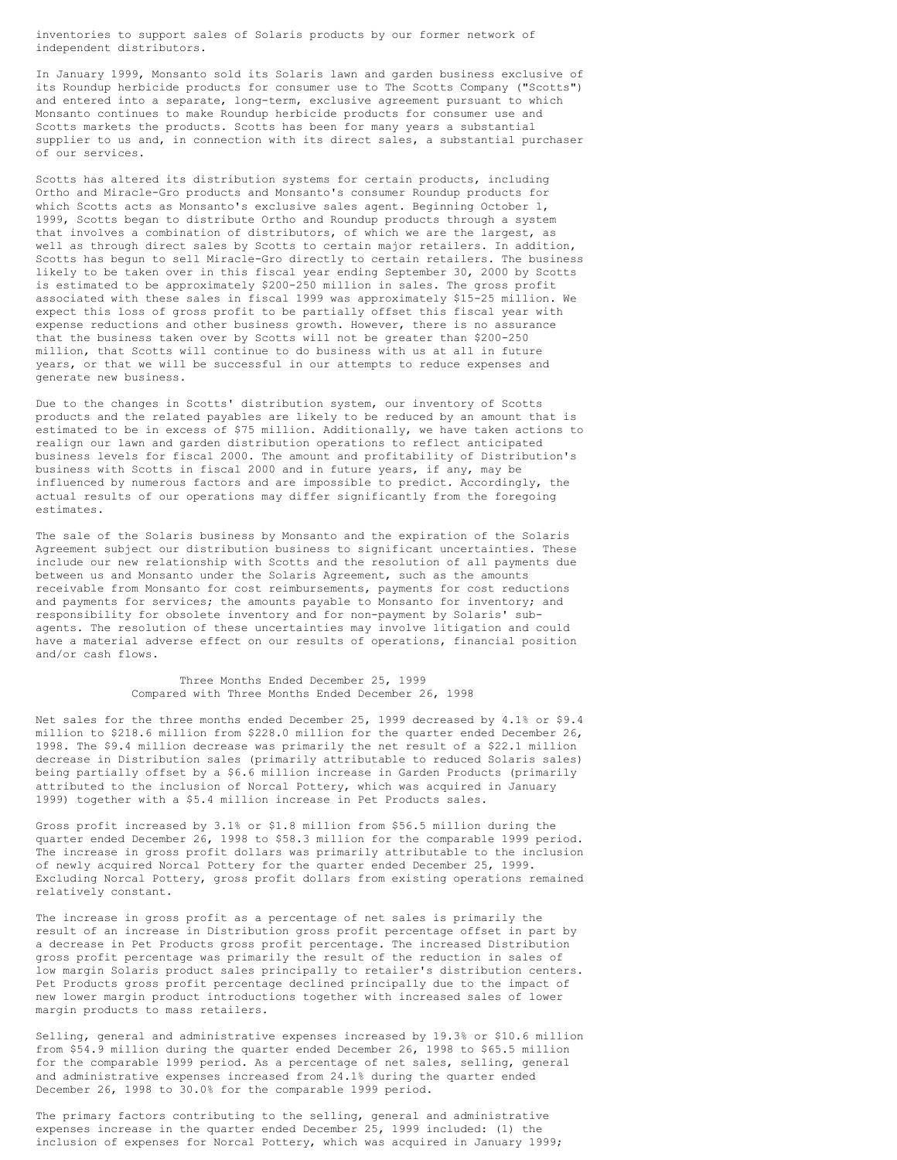inventories to support sales of Solaris products by our former network of independent distributors.

In January 1999, Monsanto sold its Solaris lawn and garden business exclusive of its Roundup herbicide products for consumer use to The Scotts Company ("Scotts") and entered into a separate, long-term, exclusive agreement pursuant to which Monsanto continues to make Roundup herbicide products for consumer use and Scotts markets the products. Scotts has been for many years a substantial supplier to us and, in connection with its direct sales, a substantial purchaser of our services.

Scotts has altered its distribution systems for certain products, including Ortho and Miracle-Gro products and Monsanto's consumer Roundup products for which Scotts acts as Monsanto's exclusive sales agent. Beginning October 1, 1999, Scotts began to distribute Ortho and Roundup products through a system that involves a combination of distributors, of which we are the largest, as well as through direct sales by Scotts to certain major retailers. In addition, Scotts has begun to sell Miracle-Gro directly to certain retailers. The business likely to be taken over in this fiscal year ending September 30, 2000 by Scotts is estimated to be approximately \$200-250 million in sales. The gross profit associated with these sales in fiscal 1999 was approximately \$15-25 million. We expect this loss of gross profit to be partially offset this fiscal year with expense reductions and other business growth. However, there is no assurance that the business taken over by Scotts will not be greater than \$200-250 million, that Scotts will continue to do business with us at all in future years, or that we will be successful in our attempts to reduce expenses and generate new business.

Due to the changes in Scotts' distribution system, our inventory of Scotts products and the related payables are likely to be reduced by an amount that is estimated to be in excess of \$75 million. Additionally, we have taken actions to realign our lawn and garden distribution operations to reflect anticipated business levels for fiscal 2000. The amount and profitability of Distribution's business with Scotts in fiscal 2000 and in future years, if any, may be influenced by numerous factors and are impossible to predict. Accordingly, the actual results of our operations may differ significantly from the foregoing estimates.

The sale of the Solaris business by Monsanto and the expiration of the Solaris Agreement subject our distribution business to significant uncertainties. These include our new relationship with Scotts and the resolution of all payments due between us and Monsanto under the Solaris Agreement, such as the amounts receivable from Monsanto for cost reimbursements, payments for cost reductions and payments for services; the amounts payable to Monsanto for inventory; and responsibility for obsolete inventory and for non-payment by Solaris' subagents. The resolution of these uncertainties may involve litigation and could have a material adverse effect on our results of operations, financial position and/or cash flows.

> Three Months Ended December 25, 1999 Compared with Three Months Ended December 26, 1998

Net sales for the three months ended December 25, 1999 decreased by 4.1% or \$9.4 million to \$218.6 million from \$228.0 million for the quarter ended December 26, 1998. The \$9.4 million decrease was primarily the net result of a \$22.1 million decrease in Distribution sales (primarily attributable to reduced Solaris sales) being partially offset by a \$6.6 million increase in Garden Products (primarily attributed to the inclusion of Norcal Pottery, which was acquired in January 1999) together with a \$5.4 million increase in Pet Products sales.

Gross profit increased by 3.1% or \$1.8 million from \$56.5 million during the quarter ended December 26, 1998 to \$58.3 million for the comparable 1999 period. The increase in gross profit dollars was primarily attributable to the inclusion of newly acquired Norcal Pottery for the quarter ended December 25, 1999. Excluding Norcal Pottery, gross profit dollars from existing operations remained relatively constant.

The increase in gross profit as a percentage of net sales is primarily the result of an increase in Distribution gross profit percentage offset in part by a decrease in Pet Products gross profit percentage. The increased Distribution gross profit percentage was primarily the result of the reduction in sales of low margin Solaris product sales principally to retailer's distribution centers. Pet Products gross profit percentage declined principally due to the impact of new lower margin product introductions together with increased sales of lower margin products to mass retailers.

Selling, general and administrative expenses increased by 19.3% or \$10.6 million from \$54.9 million during the quarter ended December 26, 1998 to \$65.5 million for the comparable 1999 period. As a percentage of net sales, selling, general and administrative expenses increased from 24.1% during the quarter ended December 26, 1998 to 30.0% for the comparable 1999 period.

The primary factors contributing to the selling, general and administrative expenses increase in the quarter ended December 25, 1999 included: (1) the inclusion of expenses for Norcal Pottery, which was acquired in January 1999;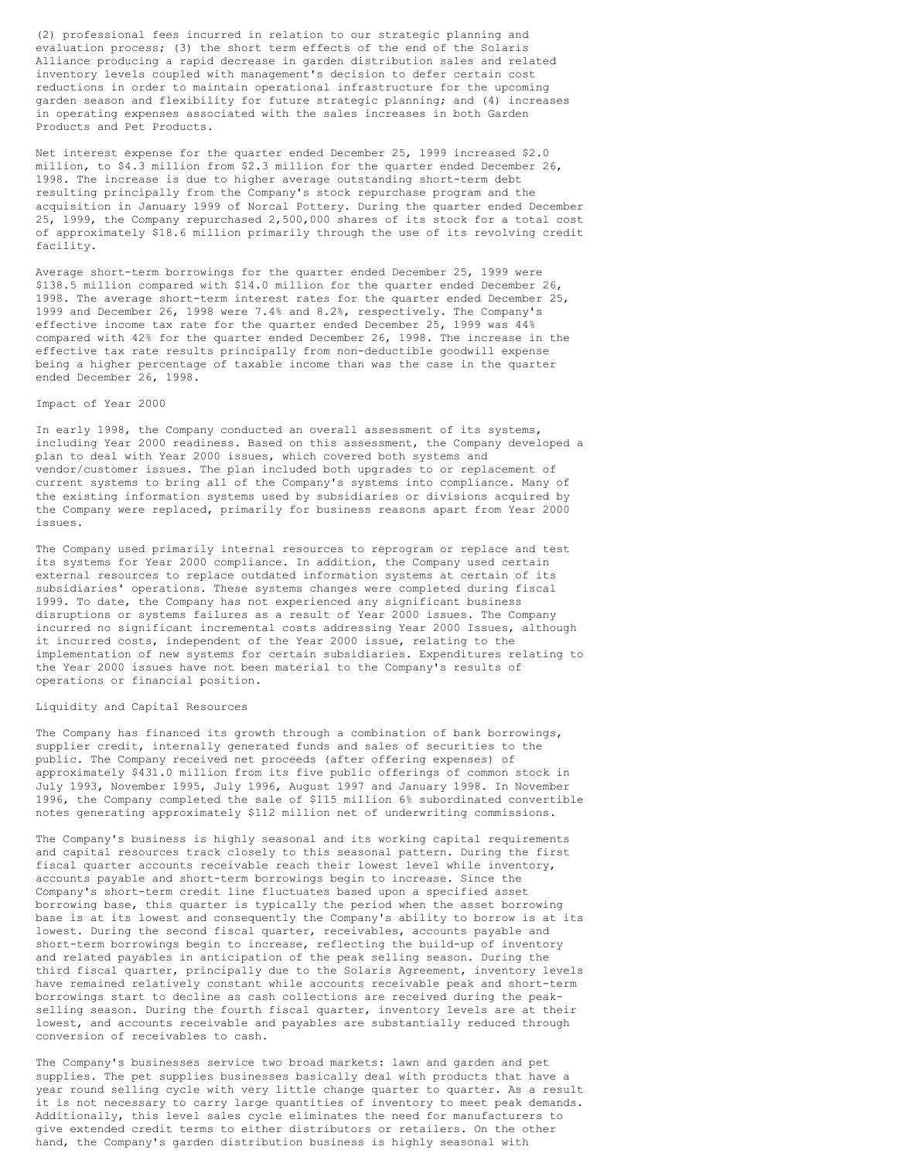(2) professional fees incurred in relation to our strategic planning and evaluation process; (3) the short term effects of the end of the Solaris Alliance producing a rapid decrease in garden distribution sales and related inventory levels coupled with management's decision to defer certain cost reductions in order to maintain operational infrastructure for the upcoming garden season and flexibility for future strategic planning; and (4) increases in operating expenses associated with the sales increases in both Garden Products and Pet Products.

Net interest expense for the quarter ended December 25, 1999 increased \$2.0 million, to \$4.3 million from \$2.3 million for the quarter ended December 26, 1998. The increase is due to higher average outstanding short-term debt resulting principally from the Company's stock repurchase program and the acquisition in January 1999 of Norcal Pottery. During the quarter ended December 25, 1999, the Company repurchased 2,500,000 shares of its stock for a total cost of approximately \$18.6 million primarily through the use of its revolving credit facility.

Average short-term borrowings for the quarter ended December 25, 1999 were \$138.5 million compared with \$14.0 million for the quarter ended December 26, 1998. The average short-term interest rates for the quarter ended December 25, 1999 and December 26, 1998 were 7.4% and 8.2%, respectively. The Company's effective income tax rate for the quarter ended December 25, 1999 was 44% compared with 42% for the quarter ended December 26, 1998. The increase in the effective tax rate results principally from non-deductible goodwill expense being a higher percentage of taxable income than was the case in the quarter ended December 26, 1998.

### Impact of Year 2000

In early 1998, the Company conducted an overall assessment of its systems, including Year 2000 readiness. Based on this assessment, the Company developed a plan to deal with Year 2000 issues, which covered both systems and vendor/customer issues. The plan included both upgrades to or replacement of current systems to bring all of the Company's systems into compliance. Many of the existing information systems used by subsidiaries or divisions acquired by the Company were replaced, primarily for business reasons apart from Year 2000 issues.

The Company used primarily internal resources to reprogram or replace and test its systems for Year 2000 compliance. In addition, the Company used certain external resources to replace outdated information systems at certain of its subsidiaries' operations. These systems changes were completed during fiscal 1999. To date, the Company has not experienced any significant business disruptions or systems failures as a result of Year 2000 issues. The Company incurred no significant incremental costs addressing Year 2000 Issues, although it incurred costs, independent of the Year 2000 issue, relating to the implementation of new systems for certain subsidiaries. Expenditures relating to the Year 2000 issues have not been material to the Company's results of operations or financial position.

## Liquidity and Capital Resources

The Company has financed its growth through a combination of bank borrowings, supplier credit, internally generated funds and sales of securities to the public. The Company received net proceeds (after offering expenses) of approximately \$431.0 million from its five public offerings of common stock in July 1993, November 1995, July 1996, August 1997 and January 1998. In November 1996, the Company completed the sale of \$115 million 6% subordinated convertible notes generating approximately \$112 million net of underwriting commissions.

The Company's business is highly seasonal and its working capital requirements and capital resources track closely to this seasonal pattern. During the first fiscal quarter accounts receivable reach their lowest level while inventory, accounts payable and short-term borrowings begin to increase. Since the Company's short-term credit line fluctuates based upon a specified asset borrowing base, this quarter is typically the period when the asset borrowing base is at its lowest and consequently the Company's ability to borrow is at its lowest. During the second fiscal quarter, receivables, accounts payable and short-term borrowings begin to increase, reflecting the build-up of inventory and related payables in anticipation of the peak selling season. During the third fiscal quarter, principally due to the Solaris Agreement, inventory levels have remained relatively constant while accounts receivable peak and short-term borrowings start to decline as cash collections are received during the peakselling season. During the fourth fiscal quarter, inventory levels are at their lowest, and accounts receivable and payables are substantially reduced through conversion of receivables to cash.

The Company's businesses service two broad markets: lawn and garden and pet supplies. The pet supplies businesses basically deal with products that have a year round selling cycle with very little change quarter to quarter. As a result it is not necessary to carry large quantities of inventory to meet peak demands. Additionally, this level sales cycle eliminates the need for manufacturers to give extended credit terms to either distributors or retailers. On the other hand, the Company's garden distribution business is highly seasonal with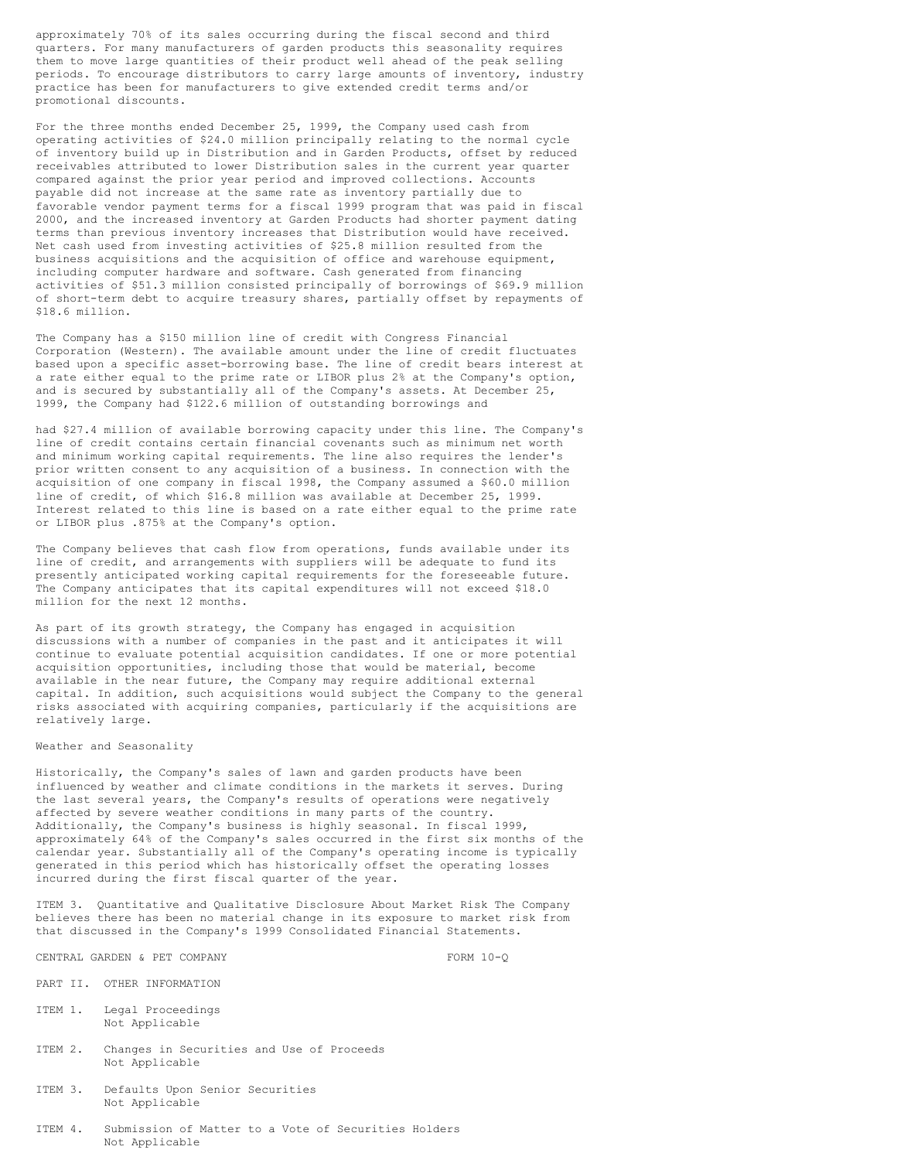approximately 70% of its sales occurring during the fiscal second and third quarters. For many manufacturers of garden products this seasonality requires them to move large quantities of their product well ahead of the peak selling periods. To encourage distributors to carry large amounts of inventory, industry practice has been for manufacturers to give extended credit terms and/or promotional discounts.

For the three months ended December 25, 1999, the Company used cash from operating activities of \$24.0 million principally relating to the normal cycle of inventory build up in Distribution and in Garden Products, offset by reduced receivables attributed to lower Distribution sales in the current year quarter compared against the prior year period and improved collections. Accounts payable did not increase at the same rate as inventory partially due to favorable vendor payment terms for a fiscal 1999 program that was paid in fiscal 2000, and the increased inventory at Garden Products had shorter payment dating terms than previous inventory increases that Distribution would have received. Net cash used from investing activities of \$25.8 million resulted from the business acquisitions and the acquisition of office and warehouse equipment, including computer hardware and software. Cash generated from financing activities of \$51.3 million consisted principally of borrowings of \$69.9 million of short-term debt to acquire treasury shares, partially offset by repayments of \$18.6 million.

The Company has a \$150 million line of credit with Congress Financial Corporation (Western). The available amount under the line of credit fluctuates based upon a specific asset-borrowing base. The line of credit bears interest at a rate either equal to the prime rate or LIBOR plus 2% at the Company's option, and is secured by substantially all of the Company's assets. At December 25, 1999, the Company had \$122.6 million of outstanding borrowings and

had \$27.4 million of available borrowing capacity under this line. The Company's line of credit contains certain financial covenants such as minimum net worth and minimum working capital requirements. The line also requires the lender's prior written consent to any acquisition of a business. In connection with the acquisition of one company in fiscal 1998, the Company assumed a \$60.0 million line of credit, of which \$16.8 million was available at December 25, 1999. Interest related to this line is based on a rate either equal to the prime rate or LIBOR plus .875% at the Company's option.

The Company believes that cash flow from operations, funds available under its line of credit, and arrangements with suppliers will be adequate to fund its presently anticipated working capital requirements for the foreseeable future. The Company anticipates that its capital expenditures will not exceed \$18.0 million for the next 12 months.

As part of its growth strategy, the Company has engaged in acquisition discussions with a number of companies in the past and it anticipates it will continue to evaluate potential acquisition candidates. If one or more potential acquisition opportunities, including those that would be material, become available in the near future, the Company may require additional external capital. In addition, such acquisitions would subject the Company to the general risks associated with acquiring companies, particularly if the acquisitions are relatively large.

## Weather and Seasonality

Historically, the Company's sales of lawn and garden products have been influenced by weather and climate conditions in the markets it serves. During the last several years, the Company's results of operations were negatively affected by severe weather conditions in many parts of the country. Additionally, the Company's business is highly seasonal. In fiscal 1999, approximately 64% of the Company's sales occurred in the first six months of the calendar year. Substantially all of the Company's operating income is typically generated in this period which has historically offset the operating losses incurred during the first fiscal quarter of the year.

ITEM 3. Quantitative and Qualitative Disclosure About Market Risk The Company believes there has been no material change in its exposure to market risk from that discussed in the Company's 1999 Consolidated Financial Statements.

CENTRAL GARDEN & PET COMPANY FORM 10-0

- PART II. OTHER INFORMATION
- ITEM 1. Legal Proceedings Not Applicable
- ITEM 2. Changes in Securities and Use of Proceeds Not Applicable
- ITEM 3. Defaults Upon Senior Securities Not Applicable
- ITEM 4. Submission of Matter to a Vote of Securities Holders Not Applicable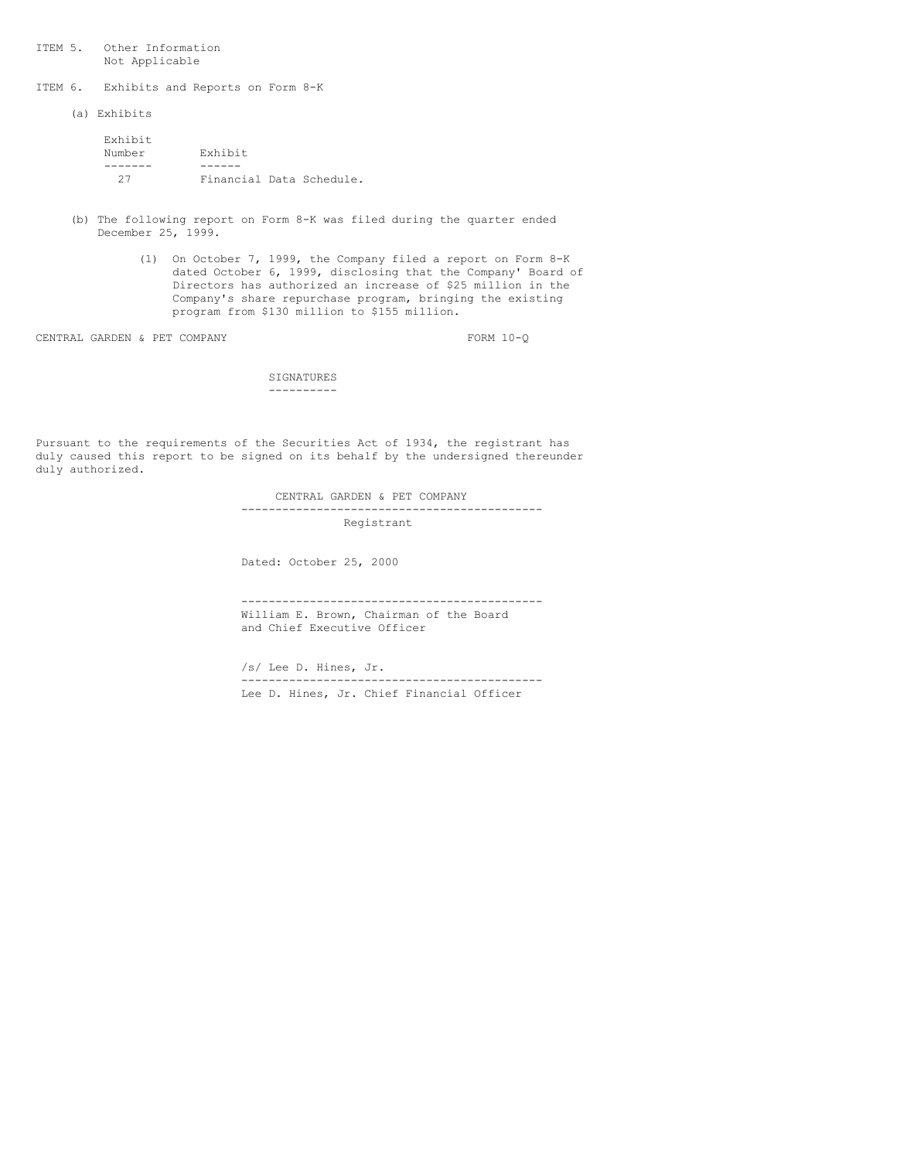ITEM 5. Other Information Not Applicable

ITEM 6. Exhibits and Reports on Form 8-K

(a) Exhibits

| Exhibit |                          |  |
|---------|--------------------------|--|
| Number  | Exhibit                  |  |
|         |                          |  |
| クワ      | Financial Data Schedule. |  |

- (b) The following report on Form 8-K was filed during the quarter ended December 25, 1999.
	- (1) On October 7, 1999, the Company filed a report on Form 8-K dated October 6, 1999, disclosing that the Company' Board of Directors has authorized an increase of \$25 million in the Company's share repurchase program, bringing the existing program from \$130 million to \$155 million.

CENTRAL GARDEN & PET COMPANY FORM 10-Q

**SIGNATURES** ----------

Pursuant to the requirements of the Securities Act of 1934, the registrant has duly caused this report to be signed on its behalf by the undersigned thereunder duly authorized.

> CENTRAL GARDEN & PET COMPANY -------------------------------------------- Registrant

Dated: October 25, 2000

-------------------------------------------- William E. Brown, Chairman of the Board and Chief Executive Officer

/s/ Lee D. Hines, Jr. -------------------------------------------- Lee D. Hines, Jr. Chief Financial Officer